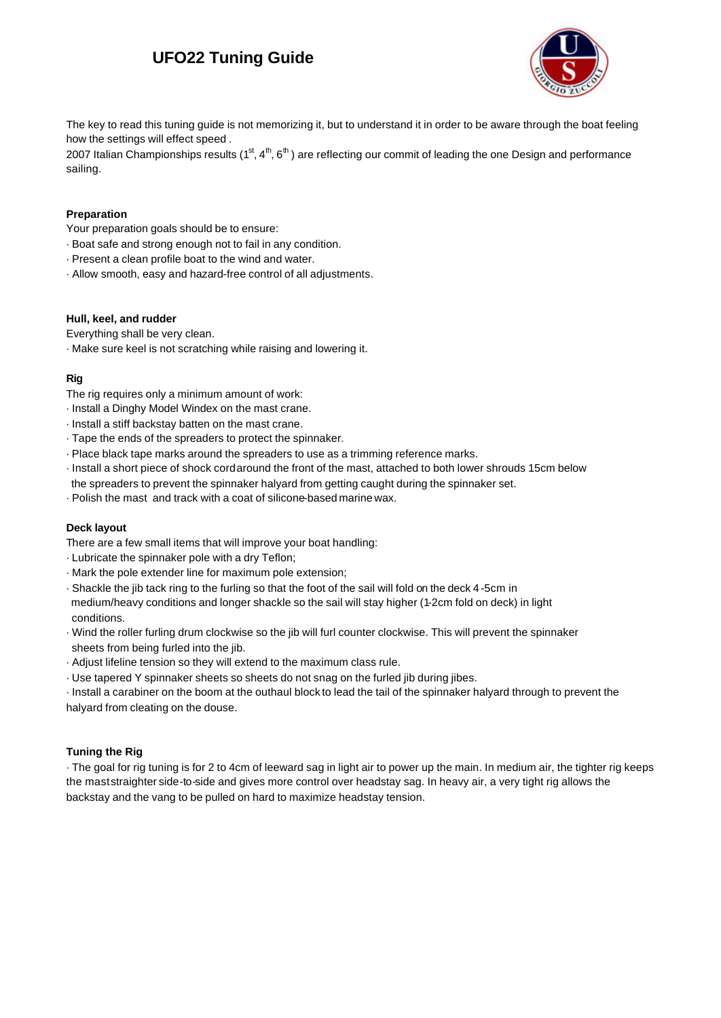# **UFO22 Tuning Guide**



The key to read this tuning guide is not memorizing it, but to understand it in order to be aware through the boat feeling how the settings will effect speed .

2007 Italian Championships results ( $1<sup>st</sup>, 4<sup>th</sup>, 6<sup>th</sup>$ ) are reflecting our commit of leading the one Design and performance sailing.

### **Preparation**

Your preparation goals should be to ensure:

- · Boat safe and strong enough not to fail in any condition.
- · Present a clean profile boat to the wind and water.
- · Allow smooth, easy and hazard-free control of all adjustments.

#### **Hull, keel, and rudder**

Everything shall be very clean.

· Make sure keel is not scratching while raising and lowering it.

### **Rig**

The rig requires only a minimum amount of work:

- · Install a Dinghy Model Windex on the mast crane.
- · Install a stiff backstay batten on the mast crane.
- · Tape the ends of the spreaders to protect the spinnaker.
- · Place black tape marks around the spreaders to use as a trimming reference marks.
- · Install a short piece of shock cord around the front of the mast, attached to both lower shrouds 15cm below the spreaders to prevent the spinnaker halyard from getting caught during the spinnaker set.
- · Polish the mast and track with a coat of silicone-based marine wax.

### **Deck layout**

There are a few small items that will improve your boat handling:

- · Lubricate the spinnaker pole with a dry Teflon;
- · Mark the pole extender line for maximum pole extension;
- · Shackle the jib tack ring to the furling so that the foot of the sail will fold on the deck 4-5cm in medium/heavy conditions and longer shackle so the sail will stay higher (1-2cm fold on deck) in light conditions.
- · Wind the roller furling drum clockwise so the jib will furl counter clockwise. This will prevent the spinnaker sheets from being furled into the jib.
- · Adjust lifeline tension so they will extend to the maximum class rule.
- · Use tapered Y spinnaker sheets so sheets do not snag on the furled jib during jibes.

· Install a carabiner on the boom at the outhaul block to lead the tail of the spinnaker halyard through to prevent the halyard from cleating on the douse.

### **Tuning the Rig**

· The goal for rig tuning is for 2 to 4cm of leeward sag in light air to power up the main. In medium air, the tighter rig keeps the mast straighter side-to-side and gives more control over headstay sag. In heavy air, a very tight rig allows the backstay and the vang to be pulled on hard to maximize headstay tension.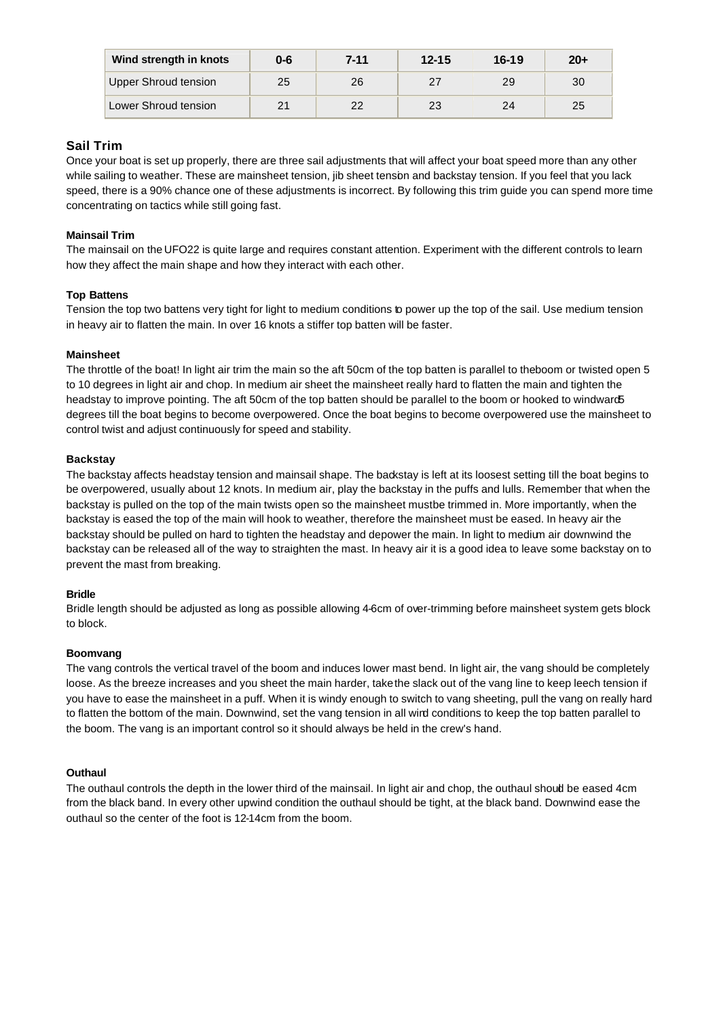| Wind strength in knots | 0-6 | 7-11 | $12 - 15$ | $16 - 19$ | $20+$ |
|------------------------|-----|------|-----------|-----------|-------|
| Upper Shroud tension   | 25  | 26   | 27        | 29        | 30    |
| Lower Shroud tension   | 21  | つつ   | 23        | 24        | 25    |

### **Sail Trim**

Once your boat is set up properly, there are three sail adjustments that will affect your boat speed more than any other while sailing to weather. These are mainsheet tension, jib sheet tension and backstay tension. If you feel that you lack speed, there is a 90% chance one of these adjustments is incorrect. By following this trim guide you can spend more time concentrating on tactics while still going fast.

### **Mainsail Trim**

The mainsail on the UFO22 is quite large and requires constant attention. Experiment with the different controls to learn how they affect the main shape and how they interact with each other.

### **Top Battens**

Tension the top two battens very tight for light to medium conditions to power up the top of the sail. Use medium tension in heavy air to flatten the main. In over 16 knots a stiffer top batten will be faster.

### **Mainsheet**

The throttle of the boat! In light air trim the main so the aft 50cm of the top batten is parallel to the boom or twisted open 5 to 10 degrees in light air and chop. In medium air sheet the mainsheet really hard to flatten the main and tighten the headstay to improve pointing. The aft 50cm of the top batten should be parallel to the boom or hooked to windward5 degrees till the boat begins to become overpowered. Once the boat begins to become overpowered use the mainsheet to control twist and adjust continuously for speed and stability.

### **Backstay**

The backstay affects headstay tension and mainsail shape. The backstay is left at its loosest setting till the boat begins to be overpowered, usually about 12 knots. In medium air, play the backstay in the puffs and lulls. Remember that when the backstay is pulled on the top of the main twists open so the mainsheet mustbe trimmed in. More importantly, when the backstay is eased the top of the main will hook to weather, therefore the mainsheet must be eased. In heavy air the backstay should be pulled on hard to tighten the headstay and depower the main. In light to medium air downwind the backstay can be released all of the way to straighten the mast. In heavy air it is a good idea to leave some backstay on to prevent the mast from breaking.

### **Bridle**

Bridle length should be adjusted as long as possible allowing 4-6cm of over-trimming before mainsheet system gets block to block.

### **Boomvang**

The vang controls the vertical travel of the boom and induces lower mast bend. In light air, the vang should be completely loose. As the breeze increases and you sheet the main harder, take the slack out of the vang line to keep leech tension if you have to ease the mainsheet in a puff. When it is windy enough to switch to vang sheeting, pull the vang on really hard to flatten the bottom of the main. Downwind, set the vang tension in all wind conditions to keep the top batten parallel to the boom. The vang is an important control so it should always be held in the crew's hand.

### **Outhaul**

The outhaul controls the depth in the lower third of the mainsail. In light air and chop, the outhaul should be eased 4cm from the black band. In every other upwind condition the outhaul should be tight, at the black band. Downwind ease the outhaul so the center of the foot is 12-14cm from the boom.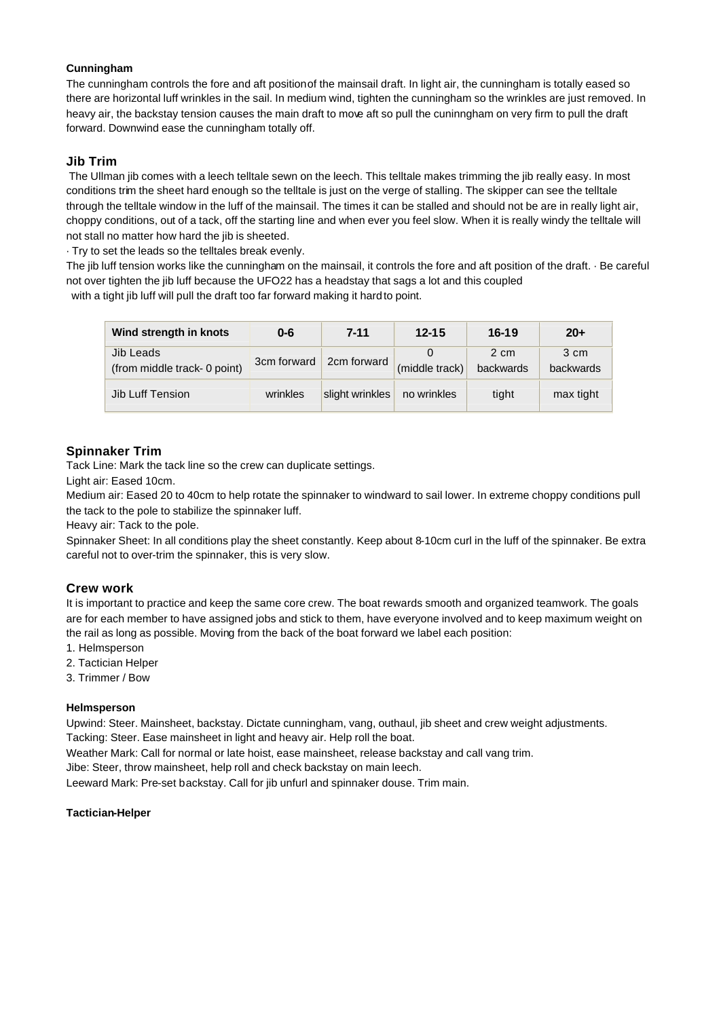### **Cunningham**

The cunningham controls the fore and aft position of the mainsail draft. In light air, the cunningham is totally eased so there are horizontal luff wrinkles in the sail. In medium wind, tighten the cunningham so the wrinkles are just removed. In heavy air, the backstay tension causes the main draft to move aft so pull the cuninngham on very firm to pull the draft forward. Downwind ease the cunningham totally off.

### **Jib Trim**

 The Ullman jib comes with a leech telltale sewn on the leech. This telltale makes trimming the jib really easy. In most conditions trim the sheet hard enough so the telltale is just on the verge of stalling. The skipper can see the telltale through the telltale window in the luff of the mainsail. The times it can be stalled and should not be are in really light air, choppy conditions, out of a tack, off the starting line and when ever you feel slow. When it is really windy the telltale will not stall no matter how hard the jib is sheeted.

· Try to set the leads so the telltales break evenly.

The jib luff tension works like the cunningham on the mainsail, it controls the fore and aft position of the draft. · Be careful not over tighten the jib luff because the UFO22 has a headstay that sags a lot and this coupled with a tight jib luff will pull the draft too far forward making it hard to point.

| Wind strength in knots                    | $0 - 6$     | $7 - 11$        | $12 - 15$      | $16 - 19$         | $20+$             |
|-------------------------------------------|-------------|-----------------|----------------|-------------------|-------------------|
| Jib Leads<br>(from middle track- 0 point) | 3cm forward | 2cm forward     | (middle track) | 2 cm<br>backwards | 3 cm<br>backwards |
| Jib Luff Tension                          | wrinkles    | slight wrinkles | no wrinkles    | tight             | max tight         |

### **Spinnaker Trim**

Tack Line: Mark the tack line so the crew can duplicate settings.

Light air: Eased 10cm.

Medium air: Eased 20 to 40cm to help rotate the spinnaker to windward to sail lower. In extreme choppy conditions pull the tack to the pole to stabilize the spinnaker luff.

Heavy air: Tack to the pole.

Spinnaker Sheet: In all conditions play the sheet constantly. Keep about 8-10cm curl in the luff of the spinnaker. Be extra careful not to over-trim the spinnaker, this is very slow.

### **Crew work**

It is important to practice and keep the same core crew. The boat rewards smooth and organized teamwork. The goals are for each member to have assigned jobs and stick to them, have everyone involved and to keep maximum weight on the rail as long as possible. Moving from the back of the boat forward we label each position:

- 1. Helmsperson
- 2. Tactician Helper
- 3. Trimmer / Bow

### **Helmsperson**

Upwind: Steer. Mainsheet, backstay. Dictate cunningham, vang, outhaul, jib sheet and crew weight adjustments. Tacking: Steer. Ease mainsheet in light and heavy air. Help roll the boat.

Weather Mark: Call for normal or late hoist, ease mainsheet, release backstay and call vang trim.

Jibe: Steer, throw mainsheet, help roll and check backstay on main leech.

Leeward Mark: Pre-set backstay. Call for jib unfurl and spinnaker douse. Trim main.

### **Tactician-Helper**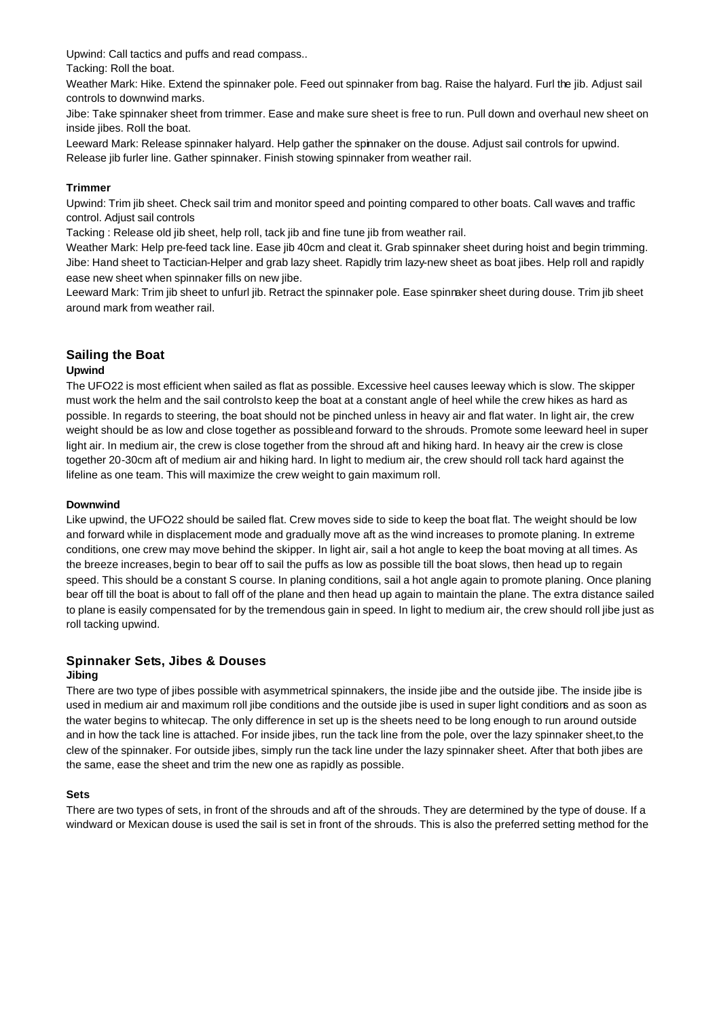Upwind: Call tactics and puffs and read compass..

Tacking: Roll the boat.

Weather Mark: Hike. Extend the spinnaker pole. Feed out spinnaker from bag. Raise the halyard. Furl the jib. Adjust sail controls to downwind marks.

Jibe: Take spinnaker sheet from trimmer. Ease and make sure sheet is free to run. Pull down and overhaul new sheet on inside jibes. Roll the boat.

Leeward Mark: Release spinnaker halyard. Help gather the spinnaker on the douse. Adjust sail controls for upwind. Release jib furler line. Gather spinnaker. Finish stowing spinnaker from weather rail.

### **Trimmer**

Upwind: Trim jib sheet. Check sail trim and monitor speed and pointing compared to other boats. Call waves and traffic control. Adjust sail controls

Tacking : Release old jib sheet, help roll, tack jib and fine tune jib from weather rail.

Weather Mark: Help pre-feed tack line. Ease jib 40cm and cleat it. Grab spinnaker sheet during hoist and begin trimming. Jibe: Hand sheet to Tactician-Helper and grab lazy sheet. Rapidly trim lazy-new sheet as boat jibes. Help roll and rapidly ease new sheet when spinnaker fills on new jibe.

Leeward Mark: Trim jib sheet to unfurl jib. Retract the spinnaker pole. Ease spinnaker sheet during douse. Trim jib sheet around mark from weather rail.

# **Sailing the Boat**

### **Upwind**

The UFO22 is most efficient when sailed as flat as possible. Excessive heel causes leeway which is slow. The skipper must work the helm and the sail controls to keep the boat at a constant angle of heel while the crew hikes as hard as possible. In regards to steering, the boat should not be pinched unless in heavy air and flat water. In light air, the crew weight should be as low and close together as possible and forward to the shrouds. Promote some leeward heel in super light air. In medium air, the crew is close together from the shroud aft and hiking hard. In heavy air the crew is close together 20-30cm aft of medium air and hiking hard. In light to medium air, the crew should roll tack hard against the lifeline as one team. This will maximize the crew weight to gain maximum roll.

### **Downwind**

Like upwind, the UFO22 should be sailed flat. Crew moves side to side to keep the boat flat. The weight should be low and forward while in displacement mode and gradually move aft as the wind increases to promote planing. In extreme conditions, one crew may move behind the skipper. In light air, sail a hot angle to keep the boat moving at all times. As the breeze increases, begin to bear off to sail the puffs as low as possible till the boat slows, then head up to regain speed. This should be a constant S course. In planing conditions, sail a hot angle again to promote planing. Once planing bear off till the boat is about to fall off of the plane and then head up again to maintain the plane. The extra distance sailed to plane is easily compensated for by the tremendous gain in speed. In light to medium air, the crew should roll jibe just as roll tacking upwind.

### **Spinnaker Sets, Jibes & Douses**

### **Jibing**

There are two type of jibes possible with asymmetrical spinnakers, the inside jibe and the outside jibe. The inside jibe is used in medium air and maximum roll jibe conditions and the outside jibe is used in super light conditions and as soon as the water begins to whitecap. The only difference in set up is the sheets need to be long enough to run around outside and in how the tack line is attached. For inside jibes, run the tack line from the pole, over the lazy spinnaker sheet, to the clew of the spinnaker. For outside jibes, simply run the tack line under the lazy spinnaker sheet. After that both jibes are the same, ease the sheet and trim the new one as rapidly as possible.

### **Sets**

There are two types of sets, in front of the shrouds and aft of the shrouds. They are determined by the type of douse. If a windward or Mexican douse is used the sail is set in front of the shrouds. This is also the preferred setting method for the